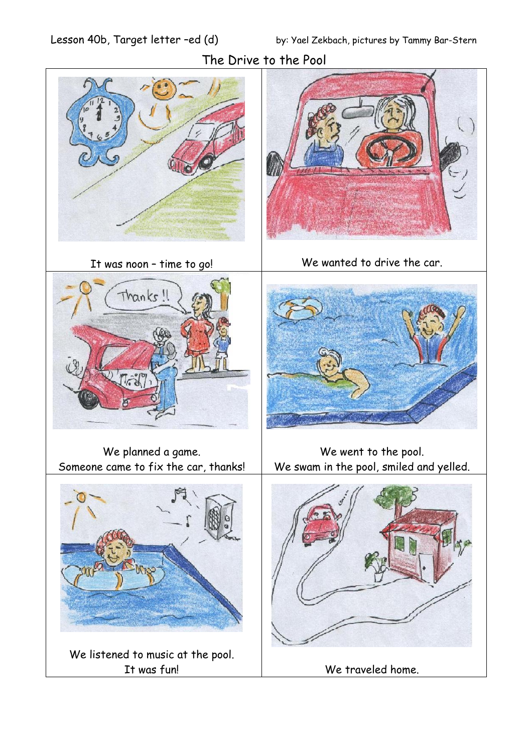

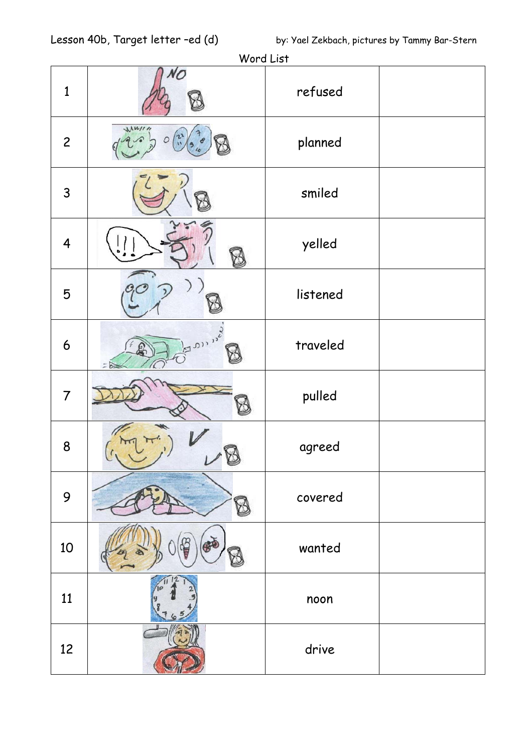| $\mathbf{1}$            | NO                             | refused  |  |
|-------------------------|--------------------------------|----------|--|
| $\mathbf{2}$            | $M$ <i>W/11</i>                | planned  |  |
| 3                       |                                | smiled   |  |
| $\overline{\mathbf{4}}$ |                                | yelled   |  |
| 5                       |                                | listened |  |
| 6                       | <b>3000 MS</b><br>$\mathbf{b}$ | traveled |  |
| $\overline{7}$          |                                | pulled   |  |
| 8                       |                                | agreed   |  |
| 9                       |                                | covered  |  |
| 10                      |                                | wanted   |  |
| 11                      |                                | noon     |  |
| 12                      |                                | drive    |  |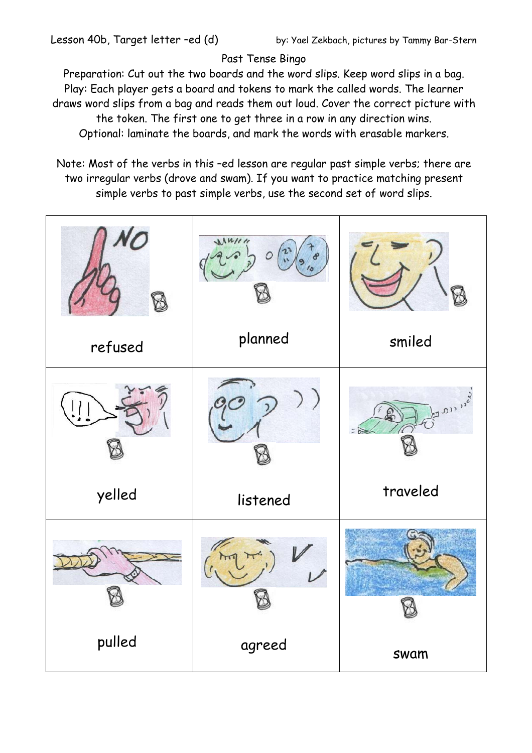## Past Tense Bingo

Preparation: Cut out the two boards and the word slips. Keep word slips in a bag. Play: Each player gets a board and tokens to mark the called words. The learner draws word slips from a bag and reads them out loud. Cover the correct picture with the token. The first one to get three in a row in any direction wins. Optional: laminate the boards, and mark the words with erasable markers.

Note: Most of the verbs in this –ed lesson are regular past simple verbs; there are two irregular verbs (drove and swam). If you want to practice matching present simple verbs to past simple verbs, use the second set of word slips.

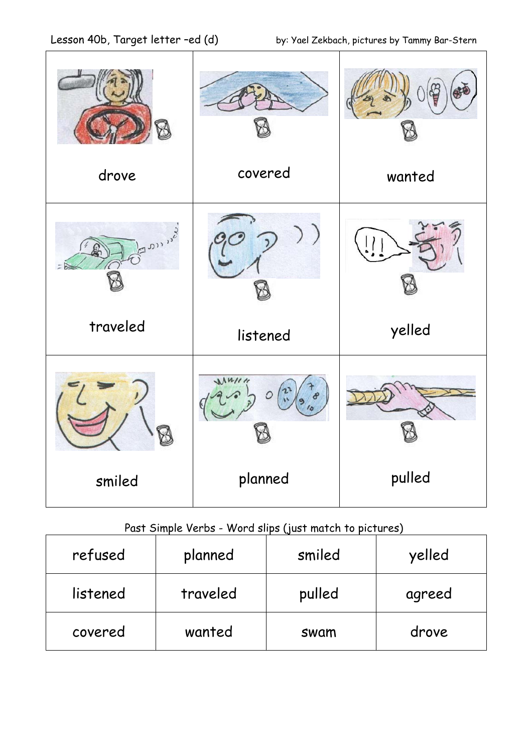| drove    | covered         | wanted |  |
|----------|-----------------|--------|--|
|          |                 |        |  |
| Son 13   |                 |        |  |
| traveled | listened        | yelled |  |
|          | $M$ <i>W/11</i> |        |  |
| smiled   | planned         | pulled |  |

## Past Simple Verbs - Word slips (just match to pictures)

| refused  | planned  | smiled | yelled |
|----------|----------|--------|--------|
| listened | traveled | pulled | agreed |
| covered  | wanted   | swam   | drove  |